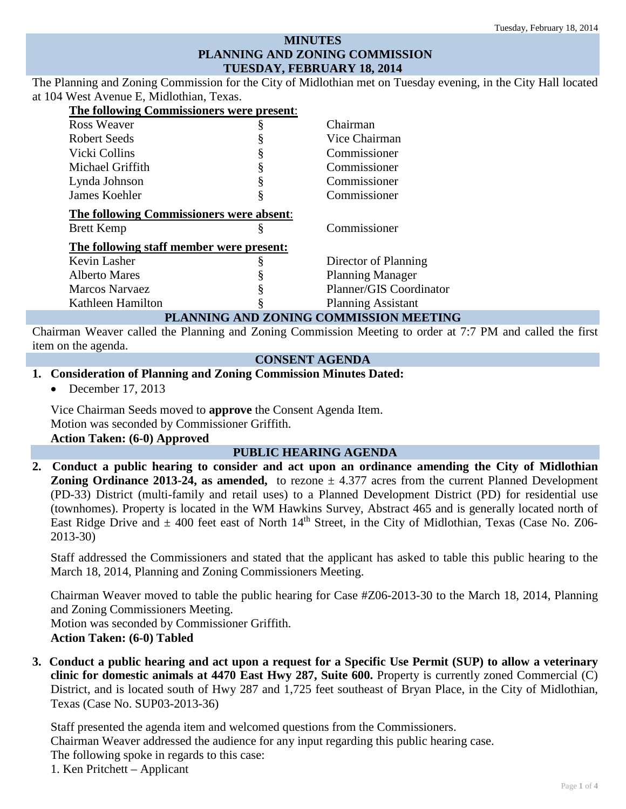# **MINUTES PLANNING AND ZONING COMMISSION TUESDAY, FEBRUARY 18, 2014**

The Planning and Zoning Commission for the City of Midlothian met on Tuesday evening, in the City Hall located at 104 West Avenue E, Midlothian, Texas.

| The following Commissioners were present: |   |                           |
|-------------------------------------------|---|---------------------------|
| Ross Weaver                               |   | Chairman                  |
| Robert Seeds                              |   | Vice Chairman             |
| Vicki Collins                             |   | Commissioner              |
| Michael Griffith                          |   | Commissioner              |
| Lynda Johnson                             |   | Commissioner              |
| James Koehler                             |   | Commissioner              |
| The following Commissioners were absent:  |   |                           |
| <b>Brett Kemp</b>                         | ö | Commissioner              |
| The following staff member were present:  |   |                           |
| Kevin Lasher                              |   | Director of Planning      |
| <b>Alberto Mares</b>                      |   | <b>Planning Manager</b>   |
| <b>Marcos Narvaez</b>                     |   | Planner/GIS Coordinator   |
| Kathleen Hamilton                         |   | <b>Planning Assistant</b> |
|                                           |   | $   -$                    |

# **PLANNING AND ZONING COMMISSION MEETING**

Chairman Weaver called the Planning and Zoning Commission Meeting to order at 7:7 PM and called the first item on the agenda.

# **CONSENT AGENDA**

#### **1. Consideration of Planning and Zoning Commission Minutes Dated:**

• December 17, 2013

Vice Chairman Seeds moved to **approve** the Consent Agenda Item. Motion was seconded by Commissioner Griffith. **Action Taken: (6-0) Approved**

## **PUBLIC HEARING AGENDA**

**2. Conduct a public hearing to consider and act upon an ordinance amending the City of Midlothian Zoning Ordinance 2013-24, as amended,** to rezone  $\pm$  4.377 acres from the current Planned Development (PD-33) District (multi-family and retail uses) to a Planned Development District (PD) for residential use (townhomes). Property is located in the WM Hawkins Survey, Abstract 465 and is generally located north of East Ridge Drive and  $\pm$  400 feet east of North 14<sup>th</sup> Street, in the City of Midlothian, Texas (Case No. Z06-2013-30)

Staff addressed the Commissioners and stated that the applicant has asked to table this public hearing to the March 18, 2014, Planning and Zoning Commissioners Meeting.

Chairman Weaver moved to table the public hearing for Case #Z06-2013-30 to the March 18, 2014, Planning and Zoning Commissioners Meeting.

Motion was seconded by Commissioner Griffith. **Action Taken: (6-0) Tabled**

**3. Conduct a public hearing and act upon a request for a Specific Use Permit (SUP) to allow a veterinary clinic for domestic animals at 4470 East Hwy 287, Suite 600.** Property is currently zoned Commercial (C) District, and is located south of Hwy 287 and 1,725 feet southeast of Bryan Place, in the City of Midlothian, Texas (Case No. SUP03-2013-36)

Staff presented the agenda item and welcomed questions from the Commissioners. Chairman Weaver addressed the audience for any input regarding this public hearing case. The following spoke in regards to this case: 1. Ken Pritchett – Applicant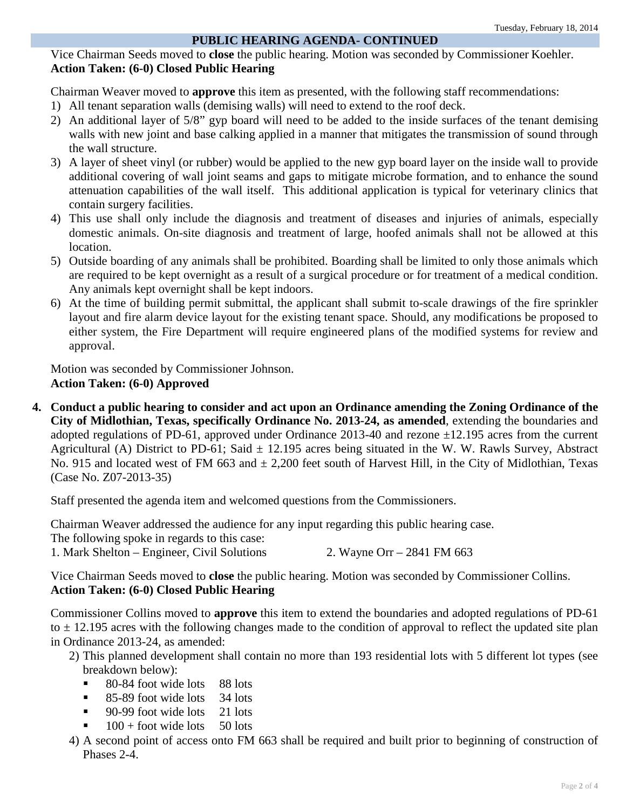# **PUBLIC HEARING AGENDA- CONTINUED**

Vice Chairman Seeds moved to **close** the public hearing. Motion was seconded by Commissioner Koehler. **Action Taken: (6-0) Closed Public Hearing**

Chairman Weaver moved to **approve** this item as presented, with the following staff recommendations:

- 1) All tenant separation walls (demising walls) will need to extend to the roof deck.
- 2) An additional layer of 5/8" gyp board will need to be added to the inside surfaces of the tenant demising walls with new joint and base calking applied in a manner that mitigates the transmission of sound through the wall structure.
- 3) A layer of sheet vinyl (or rubber) would be applied to the new gyp board layer on the inside wall to provide additional covering of wall joint seams and gaps to mitigate microbe formation, and to enhance the sound attenuation capabilities of the wall itself. This additional application is typical for veterinary clinics that contain surgery facilities.
- 4) This use shall only include the diagnosis and treatment of diseases and injuries of animals, especially domestic animals. On-site diagnosis and treatment of large, hoofed animals shall not be allowed at this location.
- 5) Outside boarding of any animals shall be prohibited. Boarding shall be limited to only those animals which are required to be kept overnight as a result of a surgical procedure or for treatment of a medical condition. Any animals kept overnight shall be kept indoors.
- 6) At the time of building permit submittal, the applicant shall submit to-scale drawings of the fire sprinkler layout and fire alarm device layout for the existing tenant space. Should, any modifications be proposed to either system, the Fire Department will require engineered plans of the modified systems for review and approval.

Motion was seconded by Commissioner Johnson. **Action Taken: (6-0) Approved**

**4. Conduct a public hearing to consider and act upon an Ordinance amending the Zoning Ordinance of the City of Midlothian, Texas, specifically Ordinance No. 2013-24, as amended**, extending the boundaries and adopted regulations of PD-61, approved under Ordinance 2013-40 and rezone  $\pm 12.195$  acres from the current Agricultural (A) District to PD-61; Said  $\pm$  12.195 acres being situated in the W. W. Rawls Survey, Abstract No. 915 and located west of FM 663 and  $\pm$  2,200 feet south of Harvest Hill, in the City of Midlothian, Texas (Case No. Z07-2013-35)

Staff presented the agenda item and welcomed questions from the Commissioners.

Chairman Weaver addressed the audience for any input regarding this public hearing case. The following spoke in regards to this case: 1. Mark Shelton – Engineer, Civil Solutions 2. Wayne Orr – 2841 FM 663

Vice Chairman Seeds moved to **close** the public hearing. Motion was seconded by Commissioner Collins. **Action Taken: (6-0) Closed Public Hearing**

Commissioner Collins moved to **approve** this item to extend the boundaries and adopted regulations of PD-61 to  $\pm$  12.195 acres with the following changes made to the condition of approval to reflect the updated site plan in Ordinance 2013-24, as amended:

- 2) This planned development shall contain no more than 193 residential lots with 5 different lot types (see breakdown below):
	- 80-84 foot wide lots 88 lots
	- $\blacksquare$  85-89 foot wide lots 34 lots
	- $\blacksquare$  90-99 foot wide lots 21 lots
	- $100 +$  foot wide lots 50 lots
- 4) A second point of access onto FM 663 shall be required and built prior to beginning of construction of Phases 2-4.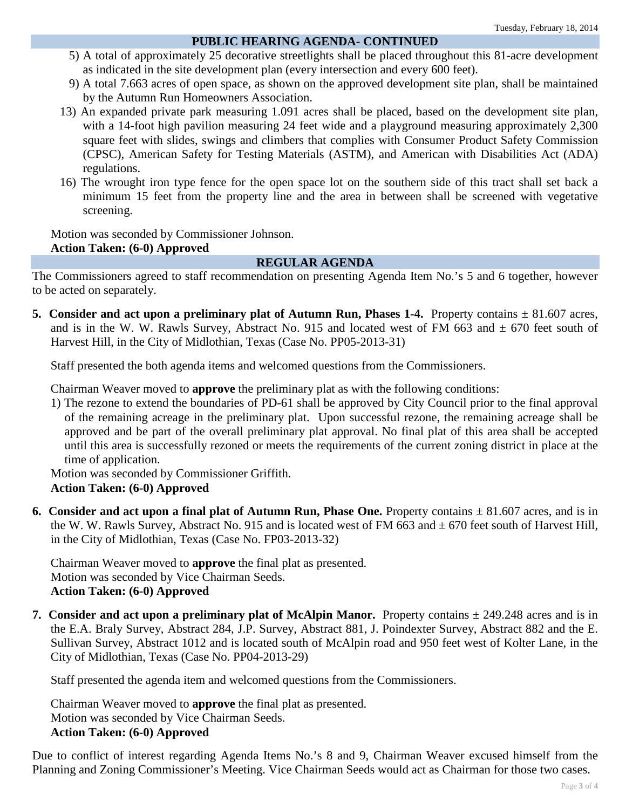### **PUBLIC HEARING AGENDA- CONTINUED**

- 5) A total of approximately 25 decorative streetlights shall be placed throughout this 81-acre development as indicated in the site development plan (every intersection and every 600 feet).
- 9) A total 7.663 acres of open space, as shown on the approved development site plan, shall be maintained by the Autumn Run Homeowners Association.
- 13) An expanded private park measuring 1.091 acres shall be placed, based on the development site plan, with a 14-foot high pavilion measuring 24 feet wide and a playground measuring approximately 2,300 square feet with slides, swings and climbers that complies with Consumer Product Safety Commission (CPSC), American Safety for Testing Materials (ASTM), and American with Disabilities Act (ADA) regulations.
- 16) The wrought iron type fence for the open space lot on the southern side of this tract shall set back a minimum 15 feet from the property line and the area in between shall be screened with vegetative screening.

Motion was seconded by Commissioner Johnson.

## **Action Taken: (6-0) Approved**

### **REGULAR AGENDA**

The Commissioners agreed to staff recommendation on presenting Agenda Item No.'s 5 and 6 together, however to be acted on separately.

**5. Consider and act upon a preliminary plat of Autumn Run, Phases 1-4.** Property contains  $\pm 81.607$  acres, and is in the W. W. Rawls Survey, Abstract No. 915 and located west of FM 663 and  $\pm$  670 feet south of Harvest Hill, in the City of Midlothian, Texas (Case No. PP05-2013-31)

Staff presented the both agenda items and welcomed questions from the Commissioners.

Chairman Weaver moved to **approve** the preliminary plat as with the following conditions:

1) The rezone to extend the boundaries of PD-61 shall be approved by City Council prior to the final approval of the remaining acreage in the preliminary plat. Upon successful rezone, the remaining acreage shall be approved and be part of the overall preliminary plat approval. No final plat of this area shall be accepted until this area is successfully rezoned or meets the requirements of the current zoning district in place at the time of application.

Motion was seconded by Commissioner Griffith. **Action Taken: (6-0) Approved**

**6. Consider and act upon a final plat of Autumn Run, Phase One.** Property contains  $\pm 81.607$  acres, and is in the W. W. Rawls Survey, Abstract No. 915 and is located west of FM 663 and  $\pm$  670 feet south of Harvest Hill, in the City of Midlothian, Texas (Case No. FP03-2013-32)

Chairman Weaver moved to **approve** the final plat as presented. Motion was seconded by Vice Chairman Seeds. **Action Taken: (6-0) Approved**

**7. Consider and act upon a preliminary plat of McAlpin Manor.** Property contains  $\pm$  249.248 acres and is in the E.A. Braly Survey, Abstract 284, J.P. Survey, Abstract 881, J. Poindexter Survey, Abstract 882 and the E. Sullivan Survey, Abstract 1012 and is located south of McAlpin road and 950 feet west of Kolter Lane, in the City of Midlothian, Texas (Case No. PP04-2013-29)

Staff presented the agenda item and welcomed questions from the Commissioners.

Chairman Weaver moved to **approve** the final plat as presented. Motion was seconded by Vice Chairman Seeds. **Action Taken: (6-0) Approved**

Due to conflict of interest regarding Agenda Items No.'s 8 and 9, Chairman Weaver excused himself from the Planning and Zoning Commissioner's Meeting. Vice Chairman Seeds would act as Chairman for those two cases.